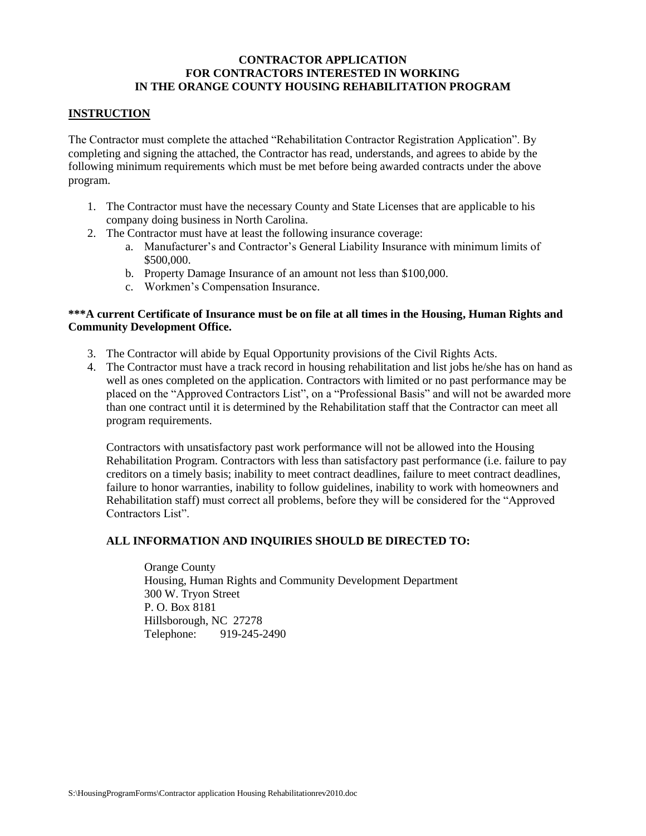#### **CONTRACTOR APPLICATION FOR CONTRACTORS INTERESTED IN WORKING IN THE ORANGE COUNTY HOUSING REHABILITATION PROGRAM**

### **INSTRUCTION**

The Contractor must complete the attached "Rehabilitation Contractor Registration Application". By completing and signing the attached, the Contractor has read, understands, and agrees to abide by the following minimum requirements which must be met before being awarded contracts under the above program.

- 1. The Contractor must have the necessary County and State Licenses that are applicable to his company doing business in North Carolina.
- 2. The Contractor must have at least the following insurance coverage:
	- a. Manufacturer's and Contractor's General Liability Insurance with minimum limits of \$500,000.
	- b. Property Damage Insurance of an amount not less than \$100,000.
	- c. Workmen's Compensation Insurance.

### **\*\*\*A current Certificate of Insurance must be on file at all times in the Housing, Human Rights and Community Development Office.**

- 3. The Contractor will abide by Equal Opportunity provisions of the Civil Rights Acts.
- 4. The Contractor must have a track record in housing rehabilitation and list jobs he/she has on hand as well as ones completed on the application. Contractors with limited or no past performance may be placed on the "Approved Contractors List", on a "Professional Basis" and will not be awarded more than one contract until it is determined by the Rehabilitation staff that the Contractor can meet all program requirements.

Contractors with unsatisfactory past work performance will not be allowed into the Housing Rehabilitation Program. Contractors with less than satisfactory past performance (i.e. failure to pay creditors on a timely basis; inability to meet contract deadlines, failure to meet contract deadlines, failure to honor warranties, inability to follow guidelines, inability to work with homeowners and Rehabilitation staff) must correct all problems, before they will be considered for the "Approved Contractors List".

# **ALL INFORMATION AND INQUIRIES SHOULD BE DIRECTED TO:**

Orange County Housing, Human Rights and Community Development Department 300 W. Tryon Street P. O. Box 8181 Hillsborough, NC 27278 Telephone: 919-245-2490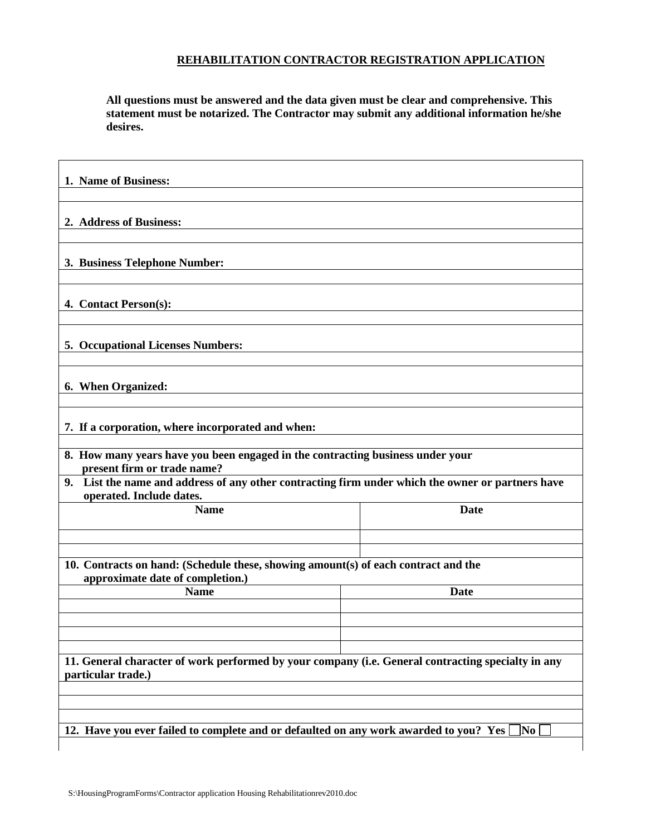# **REHABILITATION CONTRACTOR REGISTRATION APPLICATION**

**All questions must be answered and the data given must be clear and comprehensive. This statement must be notarized. The Contractor may submit any additional information he/she desires.**

| 1. Name of Business:                                                                                                             |                        |
|----------------------------------------------------------------------------------------------------------------------------------|------------------------|
|                                                                                                                                  |                        |
| 2. Address of Business:                                                                                                          |                        |
| 3. Business Telephone Number:                                                                                                    |                        |
| 4. Contact Person(s):                                                                                                            |                        |
| <b>5. Occupational Licenses Numbers:</b>                                                                                         |                        |
| 6. When Organized:                                                                                                               |                        |
| 7. If a corporation, where incorporated and when:                                                                                |                        |
| 8. How many years have you been engaged in the contracting business under your<br>present firm or trade name?                    |                        |
| List the name and address of any other contracting firm under which the owner or partners have<br>9.<br>operated. Include dates. |                        |
| <b>Name</b>                                                                                                                      | <b>Date</b>            |
|                                                                                                                                  |                        |
| 10. Contracts on hand: (Schedule these, showing amount(s) of each contract and the<br>approximate date of completion.)           |                        |
| <b>Name</b>                                                                                                                      | Date                   |
|                                                                                                                                  |                        |
| 11. General character of work performed by your company (i.e. General contracting specialty in any<br>particular trade.)         |                        |
|                                                                                                                                  |                        |
| 12. Have you ever failed to complete and or defaulted on any work awarded to you? Yes                                            | $\overline{\text{No}}$ |
|                                                                                                                                  |                        |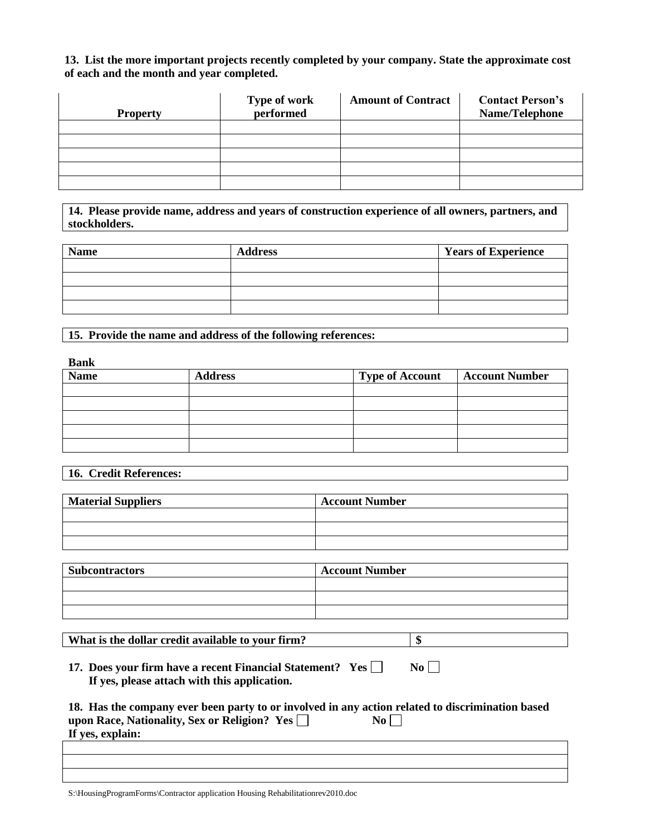#### **13. List the more important projects recently completed by your company. State the approximate cost of each and the month and year completed.**

| <b>Property</b> | Type of work<br>performed | <b>Amount of Contract</b> | <b>Contact Person's</b><br>Name/Telephone |
|-----------------|---------------------------|---------------------------|-------------------------------------------|
|                 |                           |                           |                                           |
|                 |                           |                           |                                           |
|                 |                           |                           |                                           |
|                 |                           |                           |                                           |
|                 |                           |                           |                                           |

**14. Please provide name, address and years of construction experience of all owners, partners, and stockholders.**

| <b>Name</b> | <b>Address</b> | <b>Years of Experience</b> |
|-------------|----------------|----------------------------|
|             |                |                            |
|             |                |                            |
|             |                |                            |
|             |                |                            |

**15. Provide the name and address of the following references:**

**Bank**

| <b>Name</b> | <b>Address</b> | <b>Type of Account</b> | <b>Account Number</b> |
|-------------|----------------|------------------------|-----------------------|
|             |                |                        |                       |
|             |                |                        |                       |
|             |                |                        |                       |
|             |                |                        |                       |
|             |                |                        |                       |

**16. Credit References:**

| <b>Material Suppliers</b> | <b>Account Number</b> |
|---------------------------|-----------------------|
|                           |                       |
|                           |                       |
|                           |                       |

| <b>Subcontractors</b> | <b>Account Number</b> |
|-----------------------|-----------------------|
|                       |                       |
|                       |                       |
|                       |                       |

**What is the dollar credit available to your firm?**  $\boxed{\$}$ 

**17. Does your firm have a recent Financial Statement?** Yes  $\Box$  No  $\Box$  **If yes, please attach with this application.**

| 18. Has the company ever been party to or involved in any action related to discrimination based |    |  |
|--------------------------------------------------------------------------------------------------|----|--|
| upon Race, Nationality, Sex or Religion? $\,\rm Yes\,\overline{\Box}\,$                          | No |  |
| If yes, explain:                                                                                 |    |  |

S:\HousingProgramForms\Contractor application Housing Rehabilitationrev2010.doc